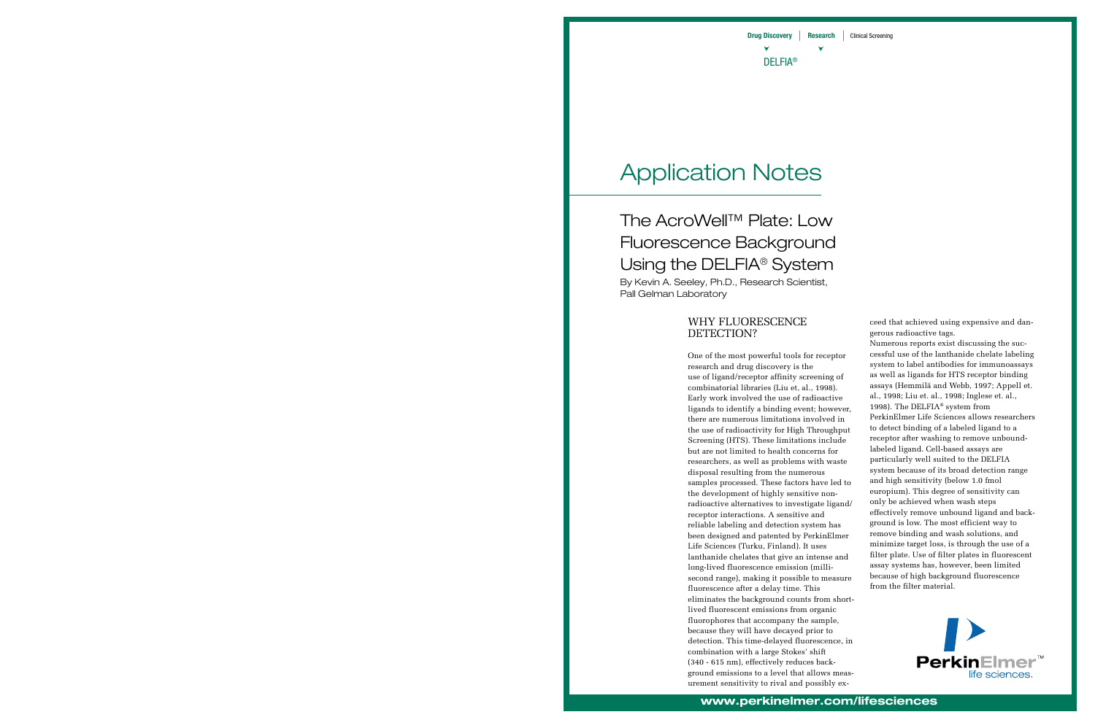# Application Notes

The AcroWell™ Plate: Low Fluorescence Background Using the DELFIA<sup>®</sup> System By Kevin A. Seeley, Ph.D., Research Scientist,

Pall Gelman Laboratory

# WHY FLUORESCENCE DETECTION?

One of the most powerful tools for receptor research and drug discovery is the use of ligand/receptor affinity screening of combinatorial libraries (Liu et, al., 1998). Early work involved the use of radioactive ligands to identify a binding event; however, there are numerous limitations involved in the use of radioactivity for High Throughput Screening (HTS). These limitations include but are not limited to health concerns for researchers, as well as problems with waste disposal resulting from the numerous samples processed. These factors have led to the development of highly sensitive nonradioactive alternatives to investigate ligand/ receptor interactions. A sensitive and reliable labeling and detection system has been designed and patented by PerkinElmer Life Sciences (Turku, Finland). It uses lanthanide chelates that give an intense and long-lived fluorescence emission (millisecond range), making it possible to measure fluorescence after a delay time. This eliminates the background counts from shortlived fluorescent emissions from organic fluorophores that accompany the sample, because they will have decayed prior to detection. This time-delayed fluorescence, in combination with a large Stokes' shift (340 - 615 nm), effectively reduces background emissions to a level that allows measurement sensitivity to rival and possibly exceed that achieved using expensive and dangerous radioactive tags.

Numerous reports exist discussing the successful use of the lanthanide chelate labeling system to label antibodies for immunoassays as well as ligands for HTS receptor binding assays (Hemmilä and Webb, 1997; Appell et. al., 1998; Liu et. al., 1998; Inglese et. al., 1998). The DELFIA® system from PerkinElmer Life Sciences allows researchers to detect binding of a labeled ligand to a receptor after washing to remove unboundlabeled ligand. Cell-based assays are particularly well suited to the DELFIA system because of its broad detection range and high sensitivity (below 1.0 fmol europium). This degree of sensitivity can only be achieved when wash steps effectively remove unbound ligand and background is low. The most efficient way to remove binding and wash solutions, and minimize target loss, is through the use of a filter plate. Use of filter plates in fluorescent assay systems has, however, been limited because of high background fluorescence from the filter material.

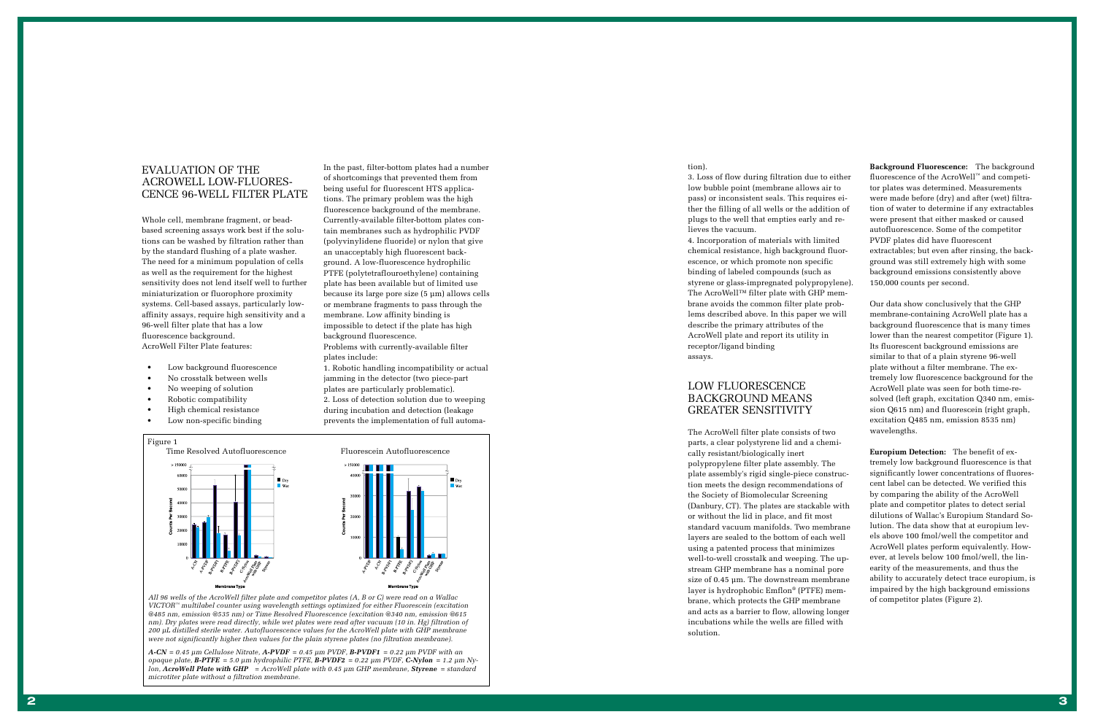*VICTOR ™ multilabel counter using wavelength settings optimized for either Fluorescein (excitation @485 nm, emission @535 nm) or Time Resolved Fluorescence (excitation @340 nm, emission @615 nm). Dry plates were read directly, while wet plates were read after vacuum (10 in. Hg) filtration of 200 µL distilled sterile water. Autofluorescence values for the AcroWell plate with GHP membrane were not significantly higher then values for the plain styrene plates (no filtration membrane).*



*A-CN = 0.45 µm Cellulose Nitrate, A-PVDF = 0.45 µm PVDF, B-PVDF1 = 0.22 µm PVDF with an opaque plate, B-PTFE = 5.0 µm hydrophilic PTFE, B-PVDF2 = 0.22 µm PVDF, C-Nylon = 1.2 µm Nylon, AcroWell Plate with GHP = AcroWell plate with 0.45 µm GHP membrane, Styrene = standard microtiter plate without a filtration membrane.*

# EVALUATION OF THE ACROWELL LOW-FLUORES-CENCE 96-WELL FILTER PLATE

Whole cell, membrane fragment, or beadbased screening assays work best if the solutions can be washed by filtration rather than by the standard flushing of a plate washer. The need for a minimum population of cells as well as the requirement for the highest sensitivity does not lend itself well to further miniaturization or fluorophore proximity systems. Cell-based assays, particularly lowaffinity assays, require high sensitivity and a 96-well filter plate that has a low fluorescence background. AcroWell Filter Plate features:

- Low background fluorescence
- No crosstalk between wells
- No weeping of solution
- Robotic compatibility
- High chemical resistance
- Low non-specific binding

In the past, filter-bottom plates had a number of shortcomings that prevented them from being useful for fluorescent HTS applications. The primary problem was the high fluorescence background of the membrane. Currently-available filter-bottom plates contain membranes such as hydrophilic PVDF (polyvinylidene fluoride) or nylon that give an unacceptably high fluorescent background. A low-fluorescence hydrophilic PTFE (polytetraflouroethylene) containing plate has been available but of limited use because its large pore size (5 µm) allows cells or membrane fragments to pass through the membrane. Low affinity binding is impossible to detect if the plate has high background fluorescence. Problems with currently-available filter plates include:

1. Robotic handling incompatibility or actual jamming in the detector (two piece-part plates are particularly problematic). 2. Loss of detection solution due to weeping

during incubation and detection (leakage

prevents the implementation of full automa-

#### tion).

3. Loss of flow during filtration due to either low bubble point (membrane allows air to pass) or inconsistent seals. This requires either the filling of all wells or the addition of plugs to the well that empties early and relieves the vacuum.

4. Incorporation of materials with limited chemical resistance, high background fluorescence, or which promote non specific binding of labeled compounds (such as styrene or glass-impregnated polypropylene). The AcroWell ™ filter plate with GHP membrane avoids the common filter plate problems described above. In this paper we will describe the primary attributes of the AcroWell plate and report its utility in receptor/ligand binding assays.

## LOW FLUORESCENCE BACKGROUND MEANS GREATER SENSITIVITY

The AcroWell filter plate consists of two parts, a clear polystyrene lid and a chemically resistant/biologically inert polypropylene filter plate assembly. The plate assembly's rigid single-piece construction meets the design recommendations of the Society of Biomolecular Screening (Danbury, CT). The plates are stackable with or without the lid in place, and fit most standard vacuum manifolds. Two membrane layers are sealed to the bottom of each well using a patented process that minimizes well-to-well crosstalk and weeping. The upstream GHP membrane has a nominal pore size of 0.45 µm. The downstream membrane layer is hydrophobic Emflon ® (PTFE) membrane, which protects the GHP membrane and acts as a barrier to flow, allowing longer incubations while the wells are filled with solution.

**Background Fluorescence:** The background fluorescence of the AcroWell ™ and competitor plates was determined. Measurements were made before (dry) and after (wet) filtration of water to determine if any extractables were present that either masked or caused autofluorescence. Some of the competitor PVDF plates did have fluorescent extractables; but even after rinsing, the background was still extremely high with some background emissions consistently above 150,000 counts per second.

Our data show conclusively that the GHP membrane-containing AcroWell plate has a background fluorescence that is many times lower than the nearest competitor (Figure 1). Its fluorescent background emissions are similar to that of a plain styrene 96-well plate without a filter membrane. The extremely low fluorescence background for the AcroWell plate was seen for both time-resolved (left graph, excitation Q340 nm, emission Q615 nm) and fluorescein (right graph, excitation Q485 nm, emission 8535 nm) wavelengths.

**Europium Detection:** The benefit of extremely low background fluorescence is that significantly lower concentrations of fluorescent label can be detected. We verified this by comparing the ability of the AcroWell plate and competitor plates to detect serial dilutions of Wallac 's Europium Standard Solution. The data show that at europium levels above 100 fmol/well the competitor and AcroWell plates perform equivalently. However, at levels below 100 fmol/well, the linearity of the measurements, and thus the ability to accurately detect trace europium, is impaired by the high background emissions of competitor plates (Figure 2).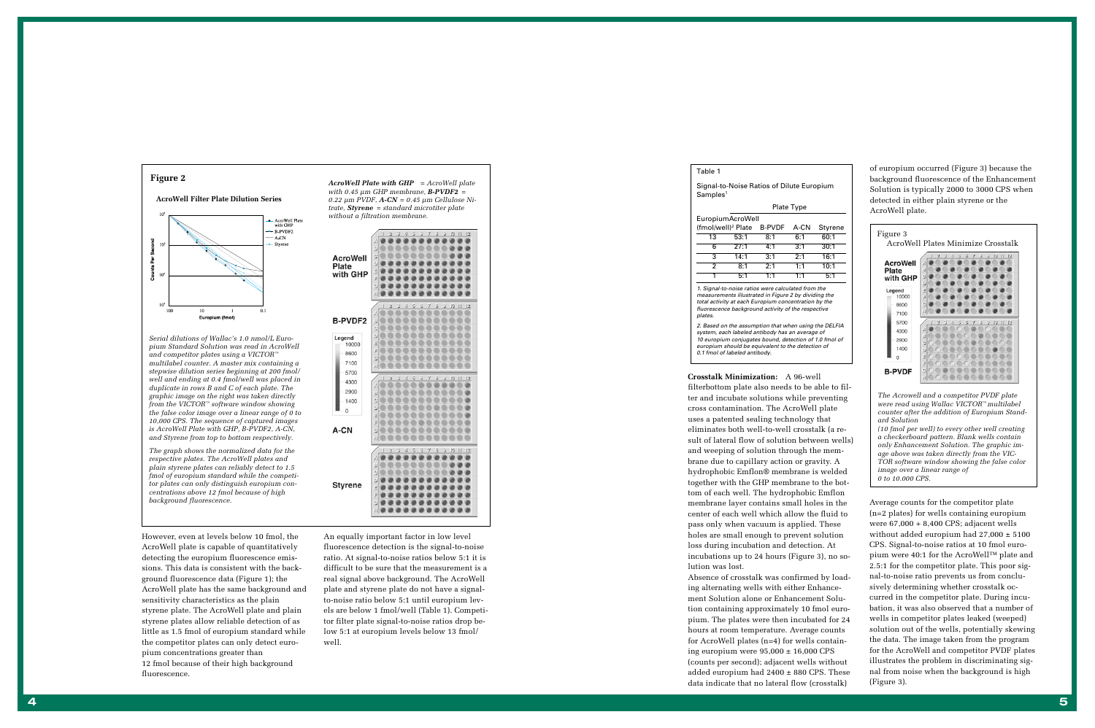*AcroWell Plate with GHP = AcroWell plate with 0.45 µm GHP membrane, B-PVDF2 = 0.22 µm PVDF, A-CN = 0.45 µm Cellulose Nitrate, Styrene = standard microtiter plate without a filtration membrane.*

|                                             | .,<br>ıs                                                              |
|---------------------------------------------|-----------------------------------------------------------------------|
|                                             | A                                                                     |
|                                             | В                                                                     |
|                                             | g                                                                     |
| <b>AcroWell</b><br><b>Plate</b><br>with GHP |                                                                       |
|                                             | D                                                                     |
|                                             | Ξ                                                                     |
|                                             | F                                                                     |
|                                             | G                                                                     |
|                                             | H                                                                     |
|                                             |                                                                       |
|                                             | 5<br>10<br>山<br>$\overline{2}$<br>5<br>4<br>5<br>ij<br>7<br>2<br>12   |
|                                             | $\mathcal{L}_{\mathbf{k}}$                                            |
| B-PVDF2                                     | В                                                                     |
|                                             | ¢                                                                     |
| Legend                                      | IJ                                                                    |
| 10000                                       | Ξ                                                                     |
|                                             | F                                                                     |
| 8600                                        | Ġ                                                                     |
| 7100                                        |                                                                       |
|                                             | H                                                                     |
| 5700                                        | $\overline{2}$<br>3<br>В<br>ő<br>5<br>5<br>10<br>5<br>$+1$<br>12<br>7 |
| 4300                                        | A                                                                     |
| 2900                                        | В                                                                     |
|                                             |                                                                       |
| 1400                                        | ¢,                                                                    |
| $\circ$                                     | Đ                                                                     |
|                                             | Ξ                                                                     |
|                                             | F                                                                     |
| A-CN                                        | ġ                                                                     |
|                                             | il                                                                    |
|                                             |                                                                       |
|                                             | В<br>5<br>z<br>5<br>4<br>5<br>ő<br>7<br>$10 -$<br>$+1$<br>12          |
|                                             | 八                                                                     |
|                                             | В                                                                     |
|                                             | ċ                                                                     |
|                                             | Đ                                                                     |
| <b>Styrene</b>                              | Ξ                                                                     |
|                                             | F                                                                     |
|                                             | ¢,                                                                    |
|                                             | E                                                                     |
|                                             |                                                                       |
|                                             |                                                                       |

#### Table 1

Signal-to-Noise Ratios of Dilute Europium Samples 1

Plate Type



|                  |                                | Plate Type |               |      |       |  |  |
|------------------|--------------------------------|------------|---------------|------|-------|--|--|
| EuropiumAcroWell |                                |            |               |      |       |  |  |
|                  | (fmol/well) <sup>2</sup> Plate |            | <b>B-PVDF</b> | A-CN | Styre |  |  |
|                  | 13                             | 53:1       | 8:1           | 6:1  | 60:1  |  |  |
|                  | 6                              | 27:1       | 4:1           | 3:1  | 30:1  |  |  |
|                  | 3                              | 14:1       | 3:1           | 2:1  | 16:1  |  |  |
|                  | 2                              | 8:1        | 2:1           | 1:1  | 10:1  |  |  |
|                  | 1                              | 5:1        | 1:1           | 1:1  | 5:1   |  |  |
|                  |                                |            |               |      |       |  |  |

1. Signal-to-noise ratios were calculated from the measurements illustrated in Figure 2 by dividing the total activity at each Europium concentration by the fluorescence background activity of the respective plates.

2. Based on the assumption that when using the DELFIA system, each labeled antibody has an average of 10 europium conjugates bound, detection of 1.0 fmol of europium should be equivalent to the detection of 0.1 fmol of labeled antibody.

However, even at levels below 10 fmol, the AcroWell plate is capable of quantitatively detecting the europium fluorescence emissions. This data is consistent with the background fluorescence data (Figure 1); the AcroWell plate has the same background and sensitivity characteristics as the plain styrene plate. The AcroWell plate and plain styrene plates allow reliable detection of as little as 1.5 fmol of europium standard while the competitor plates can only detect europium concentrations greater than 12 fmol because of their high background fluorescence.

An equally important factor in low level fluorescence detection is the signal-to-noise ratio. At signal-to-noise ratios below 5:1 it is difficult to be sure that the measurement is a real signal above background. The AcroWell plate and styrene plate do not have a signalto-noise ratio below 5:1 until europium levels are below 1 fmol/well (Table 1). Competitor filter plate signal-to-noise ratios drop below 5:1 at europium levels below 13 fmol/ well.

**Crosstalk Minimization:** A 96-well filterbottom plate also needs to be able to filter and incubate solutions while preventing cross contamination. The AcroWell plate uses a patented sealing technology that eliminates both well-to-well crosstalk (a result of lateral flow of solution between wells) and weeping of solution through the membrane due to capillary action or gravity. A hydrophobic Emflon ® membrane is welded together with the GHP membrane to the bottom of each well. The hydrophobic Emflon membrane layer contains small holes in the center of each well which allow the fluid to pass only when vacuum is applied. These holes are small enough to prevent solution loss during incubation and detection. At incubations up to 24 hours (Figure 3), no solution was lost.

Absence of crosstalk was confirmed by loading alternating wells with either Enhancement Solution alone or Enhancement Solution containing approximately 10 fmol europium. The plates were then incubated for 24 hours at room temperature. Average counts for AcroWell plates (n=4) for wells containing europium were  $95,000 \pm 16,000$  CPS (counts per second); adjacent wells without added europium had 2400 ± 880 CPS. These data indicate that no lateral flow (crosstalk)

*The Acrowell and a competitor PVDF plate were read using Wallac VICTOR ™ multilabel counter after the addition of Europium Standard Solution*

*(10 fmol per well) to every other well creating a checkerboard pattern. Blank wells contain only Enhancement Solution. The graphic image above was taken directly from the VIC-TOR software window showing the false color image over a linear range of 0 to 10.000 CPS.*



Average counts for the competitor plate (n=2 plates) for wells containing europium were 67,000 + 8,400 CPS; adjacent wells without added europium had 27,000 ± 5100 CPS. Signal-to-noise ratios at 10 fmol europium were 40:1 for the AcroWell™ plate and 2.5:1 for the competitor plate. This poor signal-to-noise ratio prevents us from conclusively determining whether crosstalk occurred in the competitor plate. During incubation, it was also observed that a number of wells in competitor plates leaked (weeped) solution out of the wells, potentially skewing the data. The image taken from the program for the AcroWell and competitor PVDF plates illustrates the problem in discriminating signal from noise when the background is high (Figure 3).



*Serial dilutions of Wallac 's 1.0 nmol/L Europium Standard Solution was read in AcroWell and competitor plates using a VICTOR ™ multilabel counter. A master mix containing a stepwise dilution series beginning at 200 fmol/ well and ending at 0.4 fmol/well was placed in duplicate in rows B and C of each plate. The graphic image on the right was taken directly from the VICTOR ™ software window showing the false color image over a linear range of 0 to 10,000 CPS. The sequence of captured images is AcroWell Plate with GHP, B-PVDF2, A-CN, and Styrene from top to bottom respectively.*

*The graph shows the normalized data for the respective plates. The AcroWell plates and plain styrene plates can reliably detect to 1.5 fmol of europium standard while the competitor plates can only distinguish europium concentrations above 12 fmol because of high background fluorescence.*

of europium occurred (Figure 3) because the background fluorescence of the Enhancement Solution is typically 2000 to 3000 CPS when detected in either plain styrene or the AcroWell plate.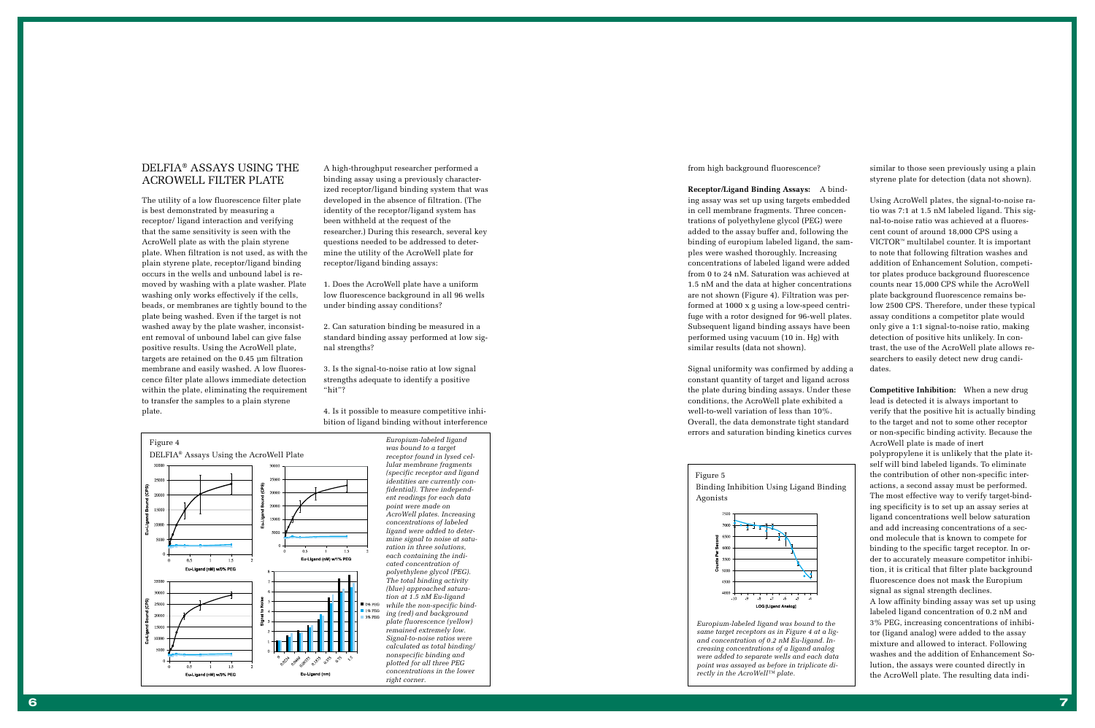# DELFIA ® ASSAYS USING THE ACROWELL FILTER PLATE

The utility of a low fluorescence filter plate is best demonstrated by measuring a receptor/ ligand interaction and verifying that the same sensitivity is seen with the AcroWell plate as with the plain styrene plate. When filtration is not used, as with the plain styrene plate, receptor/ligand binding occurs in the wells and unbound label is removed by washing with a plate washer. Plate washing only works effectively if the cells, beads, or membranes are tightly bound to the plate being washed. Even if the target is not washed away by the plate washer, inconsistent removal of unbound label can give false positive results. Using the AcroWell plate, targets are retained on the 0.45 µm filtration membrane and easily washed. A low fluorescence filter plate allows immediate detection within the plate, eliminating the requirement to transfer the samples to a plain styrene plate.



*Europium-labeled ligand was bound to a target receptor found in lysed cellular membrane fragments (specific receptor and ligand identities are currently confidential). Three independent readings for each data point were made on AcroWell plates. Increasing concentrations of labeled ligand were added to determine signal to noise at saturation in three solutions, each containing the indicated concentration of polyethylene glycol (PEG). The total binding activity (blue) approached saturation at 1.5 nM Eu-ligand while the non-specific binding (red) and background plate fluorescence (yellow) remained extremely low. Signal-to-noise ratios were calculated as total binding/ nonspecific binding and plotted for all three PEG concentrations in the lower right corner.*

A high-throughput researcher performed a binding assay using a previously characterized receptor/ligand binding system that was developed in the absence of filtration. (The identity of the receptor/ligand system has been withheld at the request of the researcher.) During this research, several key questions needed to be addressed to determine the utility of the AcroWell plate for receptor/ligand binding assays:

1. Does the AcroWell plate have a uniform low fluorescence background in all 96 wells under binding assay conditions?

2. Can saturation binding be measured in a standard binding assay performed at low signal strengths?

3. Is the signal-to-noise ratio at low signal strengths adequate to identify a positive "hit"?

4. Is it possible to measure competitive inhibition of ligand binding without interference from high background fluorescence?

**Receptor/Ligand Binding Assays:** A binding assay was set up using targets embedded in cell membrane fragments. Three concentrations of polyethylene glycol (PEG) were added to the assay buffer and, following the binding of europium labeled ligand, the samples were washed thoroughly. Increasing concentrations of labeled ligand were added from 0 to 24 nM. Saturation was achieved at 1.5 nM and the data at higher concentrations are not shown (Figure 4). Filtration was performed at 1000 x g using a low-speed centrifuge with a rotor designed for 96-well plates. Subsequent ligand binding assays have been performed using vacuum (10 in. Hg) with similar results (data not shown).

Signal uniformity was confirmed by adding a constant quantity of target and ligand across the plate during binding assays. Under these conditions, the AcroWell plate exhibited a well-to-well variation of less than 10%. Overall, the data demonstrate tight standard errors and saturation binding kinetics curves

similar to those seen previously using a plain styrene plate for detection (data not shown).

Using AcroWell plates, the signal-to-noise ratio was 7:1 at 1.5 nM labeled ligand. This signal-to-noise ratio was achieved at a fluorescent count of around 18,000 CPS using a VICTOR ™ multilabel counter. It is important to note that following filtration washes and addition of Enhancement Solution, competitor plates produce background fluorescence counts near 15,000 CPS while the AcroWell plate background fluorescence remains below 2500 CPS. Therefore, under these typical assay conditions a competitor plate would only give a 1:1 signal-to-noise ratio, making detection of positive hits unlikely. In contrast, the use of the AcroWell plate allows researchers to easily detect new drug candidates.

**Competitive Inhibition:** When a new drug lead is detected it is always important to verify that the positive hit is actually binding to the target and not to some other receptor or non-specific binding activity. Because the AcroWell plate is made of inert polypropylene it is unlikely that the plate itself will bind labeled ligands. To eliminate the contribution of other non-specific interactions, a second assay must be performed. The most effective way to verify target-binding specificity is to set up an assay series at ligand concentrations well below saturation and add increasing concentrations of a second molecule that is known to compete for binding to the specific target receptor. In order to accurately measure competitor inhibition, it is critical that filter plate background fluorescence does not mask the Europium signal as signal strength declines. A low affinity binding assay was set up using

labeled ligand concentration of 0.2 nM and 3% PEG, increasing concentrations of inhibitor (ligand analog) were added to the assay mixture and allowed to interact. Following washes and the addition of Enhancement Solution, the assays were counted directly in the AcroWell plate. The resulting data indi-

*Europium-labeled ligand was bound to the same target receptors as in Figure 4 at a ligand concentration of 0.2 nM Eu-ligand. Increasing concentrations of a ligand analog were added to separate wells and each data point was assayed as before in triplicate directly in the AcroWell™ plate.*